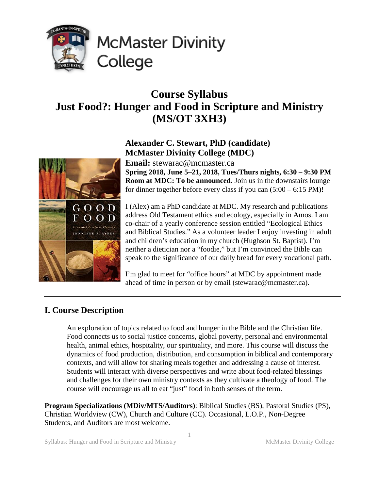

# **Course Syllabus Just Food?: Hunger and Food in Scripture and Ministry (MS/OT 3XH3)**

# **Alexander C. Stewart, PhD (candidate) McMaster Divinity College (MDC)**

**Email:** stewarac@mcmaster.ca **Spring 2018, June 5–21, 2018, Tues/Thurs nights, 6:30 – 9:30 PM Room at MDC: To be announced.** Join us in the downstairs lounge for dinner together before every class if you can (5:00 – 6:15 PM)!

I (Alex) am a PhD candidate at MDC. My research and publications address Old Testament ethics and ecology, especially in Amos. I am co-chair of a yearly conference session entitled "Ecological Ethics and Biblical Studies." As a volunteer leader I enjoy investing in adult and children's education in my church (Hughson St. Baptist). I'm neither a dietician nor a "foodie," but I'm convinced the Bible can speak to the significance of our daily bread for every vocational path.

I'm glad to meet for "office hours" at MDC by appointment made ahead of time in person or by email (stewarac@mcmaster.ca).

# **I. Course Description**

An exploration of topics related to food and hunger in the Bible and the Christian life. Food connects us to social justice concerns, global poverty, personal and environmental health, animal ethics, hospitality, our spirituality, and more. This course will discuss the dynamics of food production, distribution, and consumption in biblical and contemporary contexts, and will allow for sharing meals together and addressing a cause of interest. Students will interact with diverse perspectives and write about food-related blessings and challenges for their own ministry contexts as they cultivate a theology of food. The course will encourage us all to eat "just" food in both senses of the term.

**Program Specializations (MDiv/MTS/Auditors)**: Biblical Studies (BS), Pastoral Studies (PS), Christian Worldview (CW), Church and Culture (CC). Occasional, L.O.P., Non-Degree Students, and Auditors are most welcome.

1

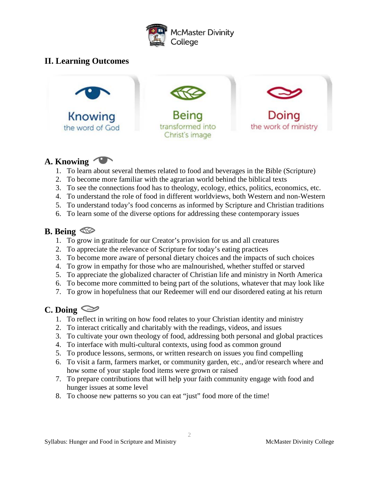

# **II. Learning Outcomes**



## **A. Knowing**

- 1. To learn about several themes related to food and beverages in the Bible (Scripture)
- 2. To become more familiar with the agrarian world behind the biblical texts
- 3. To see the connections food has to theology, ecology, ethics, politics, economics, etc.
- 4. To understand the role of food in different worldviews, both Western and non-Western
- 5. To understand today's food concerns as informed by Scripture and Christian traditions
- 6. To learn some of the diverse options for addressing these contemporary issues

# **B. Being**

- 1. To grow in gratitude for our Creator's provision for us and all creatures
- 2. To appreciate the relevance of Scripture for today's eating practices
- 3. To become more aware of personal dietary choices and the impacts of such choices
- 4. To grow in empathy for those who are malnourished, whether stuffed or starved
- 5. To appreciate the globalized character of Christian life and ministry in North America
- 6. To become more committed to being part of the solutions, whatever that may look like
- 7. To grow in hopefulness that our Redeemer will end our disordered eating at his return

# **C. Doing**

- 1. To reflect in writing on how food relates to your Christian identity and ministry
- 2. To interact critically and charitably with the readings, videos, and issues
- 3. To cultivate your own theology of food, addressing both personal and global practices
- 4. To interface with multi-cultural contexts, using food as common ground
- 5. To produce lessons, sermons, or written research on issues you find compelling
- 6. To visit a farm, farmers market, or community garden, etc., and/or research where and how some of your staple food items were grown or raised
- 7. To prepare contributions that will help your faith community engage with food and hunger issues at some level
- 8. To choose new patterns so you can eat "just" food more of the time!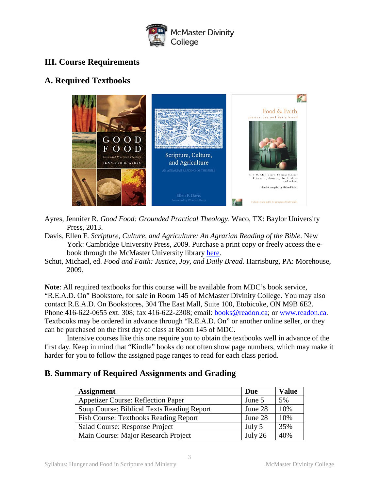

# **III. Course Requirements**

# **A. Required Textbooks**



- Ayres, Jennifer R. *Good Food: Grounded Practical Theology*. Waco, TX: Baylor University Press, 2013.
- Davis, Ellen F. *Scripture, Culture, and Agriculture: An Agrarian Reading of the Bible*. New York: Cambridge University Press, 2009. Purchase a print copy or freely access the ebook through the McMaster University library [here.](https://discovery.mcmaster.ca/iii/encore/record/C__Rb1642093?lang=eng)
- Schut, Michael, ed. *Food and Faith: Justice, Joy, and Daily Bread*. Harrisburg, PA: Morehouse, 2009.

**Note**: All required textbooks for this course will be available from MDC's book service, "R.E.A.D. On" Bookstore, for sale in Room 145 of McMaster Divinity College. You may also contact R.E.A.D. On Bookstores, 304 The East Mall, Suite 100, Etobicoke, ON M9B 6E2. Phone 416-622-0655 ext. 308; fax 416-622-2308; email: **books@readon.ca**; or [www.readon.ca.](http://www.readon.ca/) Textbooks may be ordered in advance through "R.E.A.D. On" or another online seller, or they can be purchased on the first day of class at Room 145 of MDC.

Intensive courses like this one require you to obtain the textbooks well in advance of the first day. Keep in mind that "Kindle" books do not often show page numbers, which may make it harder for you to follow the assigned page ranges to read for each class period.

## **B. Summary of Required Assignments and Grading**

| <b>Assignment</b>                            | Due     | <b>Value</b> |
|----------------------------------------------|---------|--------------|
| <b>Appetizer Course: Reflection Paper</b>    | June 5  | 5%           |
| Soup Course: Biblical Texts Reading Report   | June 28 | 10%          |
| <b>Fish Course: Textbooks Reading Report</b> | June 28 | 10%          |
| Salad Course: Response Project               | July 5  | 35%          |
| Main Course: Major Research Project          | July 26 | 40%          |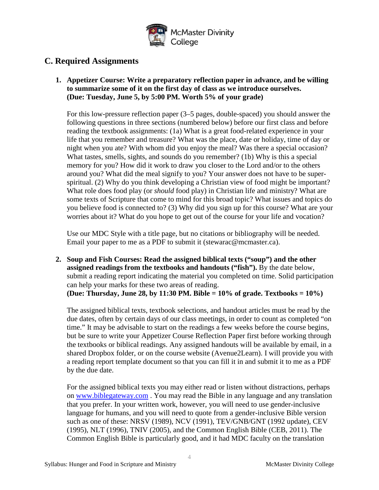

# **C. Required Assignments**

**1. Appetizer Course: Write a preparatory reflection paper in advance, and be willing to summarize some of it on the first day of class as we introduce ourselves. (Due: Tuesday, June 5, by 5:00 PM. Worth 5% of your grade)**

For this low-pressure reflection paper (3–5 pages, double-spaced) you should answer the following questions in three sections (numbered below) before our first class and before reading the textbook assignments: (1a) What is a great food-related experience in your life that you remember and treasure? What was the place, date or holiday, time of day or night when you ate? With whom did you enjoy the meal? Was there a special occasion? What tastes, smells, sights, and sounds do you remember? (1b) Why is this a special memory for you? How did it work to draw you closer to the Lord and/or to the others around you? What did the meal signify to you? Your answer does not have to be superspiritual. (2) Why do you think developing a Christian view of food might be important? What role does food play (or *should* food play) in Christian life and ministry? What are some texts of Scripture that come to mind for this broad topic? What issues and topics do you believe food is connected to? (3) Why did you sign up for this course? What are your worries about it? What do you hope to get out of the course for your life and vocation?

Use our MDC Style with a title page, but no citations or bibliography will be needed. Email your paper to me as a PDF to submit it (stewarac@mcmaster.ca).

**2. Soup and Fish Courses: Read the assigned biblical texts ("soup") and the other assigned readings from the textbooks and handouts ("fish").** By the date below, submit a reading report indicating the material you completed on time. Solid participation can help your marks for these two areas of reading. **(Due: Thursday, June 28, by 11:30 PM. Bible = 10% of grade. Textbooks = 10%)**

The assigned biblical texts, textbook selections, and handout articles must be read by the due dates, often by certain days of our class meetings, in order to count as completed "on time." It may be advisable to start on the readings a few weeks before the course begins, but be sure to write your Appetizer Course Reflection Paper first before working through the textbooks or biblical readings. Any assigned handouts will be available by email, in a shared Dropbox folder, or on the course website (Avenue2Learn). I will provide you with a reading report template document so that you can fill it in and submit it to me as a PDF by the due date.

For the assigned biblical texts you may either read or listen without distractions, perhaps on [www.biblegateway.com](http://www.biblegateway.com/) . You may read the Bible in any language and any translation that you prefer. In your written work, however, you will need to use gender-inclusive language for humans, and you will need to quote from a gender-inclusive Bible version such as one of these: NRSV (1989), NCV (1991), TEV/GNB/GNT (1992 update), CEV (1995), NLT (1996), TNIV (2005), and the Common English Bible (CEB, 2011). The Common English Bible is particularly good, and it had MDC faculty on the translation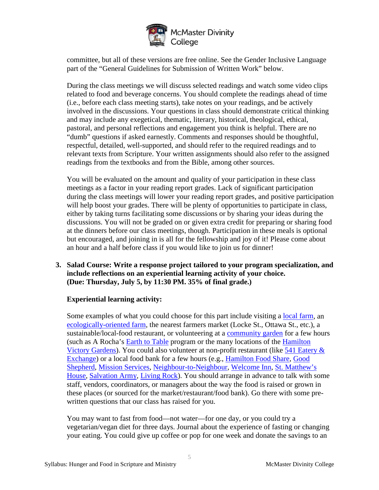

committee, but all of these versions are free online. See the Gender Inclusive Language part of the "General Guidelines for Submission of Written Work" below.

During the class meetings we will discuss selected readings and watch some video clips related to food and beverage concerns. You should complete the readings ahead of time (i.e., before each class meeting starts), take notes on your readings, and be actively involved in the discussions. Your questions in class should demonstrate critical thinking and may include any exegetical, thematic, literary, historical, theological, ethical, pastoral, and personal reflections and engagement you think is helpful. There are no "dumb" questions if asked earnestly. Comments and responses should be thoughtful, respectful, detailed, well-supported, and should refer to the required readings and to relevant texts from Scripture. Your written assignments should also refer to the assigned readings from the textbooks and from the Bible, among other sources.

You will be evaluated on the amount and quality of your participation in these class meetings as a factor in your reading report grades. Lack of significant participation during the class meetings will lower your reading report grades, and positive participation will help boost your grades. There will be plenty of opportunities to participate in class, either by taking turns facilitating some discussions or by sharing your ideas during the discussions. You will not be graded on or given extra credit for preparing or sharing food at the dinners before our class meetings, though. Participation in these meals is optional but encouraged, and joining in is all for the fellowship and joy of it! Please come about an hour and a half before class if you would like to join us for dinner!

**3. Salad Course: Write a response project tailored to your program specialization, and include reflections on an experiential learning activity of your choice. (Due: Thursday, July 5, by 11:30 PM. 35% of final grade.)**

#### **Experiential learning activity:**

Some examples of what you could choose for this part include visiting a local [farm,](https://www.localharvest.org/search.jsp?jmp&lat=43.23179&lon=-79.76945&scale=8) an [ecologically-oriented farm,](https://efao.ca/member-directory/) the nearest farmers market (Locke St., Ottawa St., etc.), a sustainable/local-food restaurant, or volunteering at a [community garden](http://hcgn.ca/) for a few hours (such as A Rocha's [Earth to Table](https://arocha.ca/where-we-work/greater-toronto-area-hamilton/sustainable-food/) program or the many locations of the [Hamilton](https://www.hamiltonvictorygardens.org/volunteer)  [Victory Gardens\)](https://www.hamiltonvictorygardens.org/volunteer). You could also volunteer at non-profit restaurant (like 541 Eatery & [Exchange\)](http://fivefortyone.ca/) or a local food bank for a few hours (e.g., [Hamilton Food Share,](https://www.hamiltonfoodshare.org/how-you-can-help/food-drives/setup-a-food-drive/) [Good](https://www.goodshepherdcentres.ca/volunteering-opportunities)  [Shepherd,](https://www.goodshepherdcentres.ca/volunteering-opportunities) [Mission Services,](http://mission-services.com/how-you-can-help/volunteer-in-hamilton/) [Neighbour-to-Neighbour,](http://www.n2ncentre.com/emergency-food-programs/food-bank/) [Welcome Inn,](http://welcomeinn.ca/become-a-volunteer/) [St. Matthew's](https://stmatthewshouse.ca/our-programs/children-and-families/emergency-food/)  [House,](https://stmatthewshouse.ca/our-programs/children-and-families/emergency-food/) [Salvation Army,](http://www.salvationarmy.org.nz/support-us/food-banks) [Living Rock\)](http://www.livingrock.ca/waystohelp/volunteer.htm). You should arrange in advance to talk with some staff, vendors, coordinators, or managers about the way the food is raised or grown in these places (or sourced for the market/restaurant/food bank). Go there with some prewritten questions that our class has raised for you.

You may want to fast from food—not water—for one day, or you could try a vegetarian/vegan diet for three days. Journal about the experience of fasting or changing your eating. You could give up coffee or pop for one week and donate the savings to an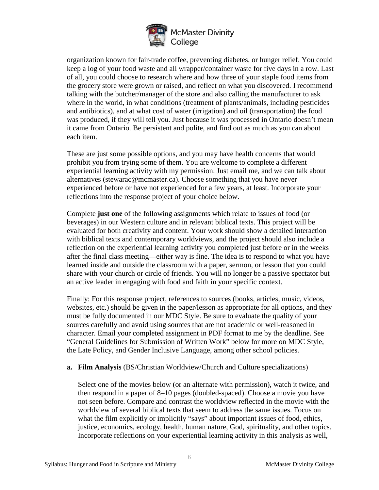

organization known for fair-trade coffee, preventing diabetes, or hunger relief. You could keep a log of your food waste and all wrapper/container waste for five days in a row. Last of all, you could choose to research where and how three of your staple food items from the grocery store were grown or raised, and reflect on what you discovered. I recommend talking with the butcher/manager of the store and also calling the manufacturer to ask where in the world, in what conditions (treatment of plants/animals, including pesticides and antibiotics), and at what cost of water (irrigation) and oil (transportation) the food was produced, if they will tell you. Just because it was processed in Ontario doesn't mean it came from Ontario. Be persistent and polite, and find out as much as you can about each item.

These are just some possible options, and you may have health concerns that would prohibit you from trying some of them. You are welcome to complete a different experiential learning activity with my permission. Just email me, and we can talk about alternatives (stewarac@mcmaster.ca). Choose something that you have never experienced before or have not experienced for a few years, at least. Incorporate your reflections into the response project of your choice below.

Complete **just one** of the following assignments which relate to issues of food (or beverages) in our Western culture and in relevant biblical texts. This project will be evaluated for both creativity and content. Your work should show a detailed interaction with biblical texts and contemporary worldviews, and the project should also include a reflection on the experiential learning activity you completed just before or in the weeks after the final class meeting—either way is fine. The idea is to respond to what you have learned inside and outside the classroom with a paper, sermon, or lesson that you could share with your church or circle of friends. You will no longer be a passive spectator but an active leader in engaging with food and faith in your specific context.

Finally: For this response project, references to sources (books, articles, music, videos, websites, etc.) should be given in the paper/lesson as appropriate for all options, and they must be fully documented in our MDC Style. Be sure to evaluate the quality of your sources carefully and avoid using sources that are not academic or well-reasoned in character. Email your completed assignment in PDF format to me by the deadline. See "General Guidelines for Submission of Written Work" below for more on MDC Style, the Late Policy, and Gender Inclusive Language, among other school policies.

#### **a. Film Analysis** (BS/Christian Worldview/Church and Culture specializations)

Select one of the movies below (or an alternate with permission), watch it twice, and then respond in a paper of 8–10 pages (doubled-spaced). Choose a movie you have not seen before. Compare and contrast the worldview reflected in the movie with the worldview of several biblical texts that seem to address the same issues. Focus on what the film explicitly or implicitly "says" about important issues of food, ethics, justice, economics, ecology, health, human nature, God, spirituality, and other topics. Incorporate reflections on your experiential learning activity in this analysis as well,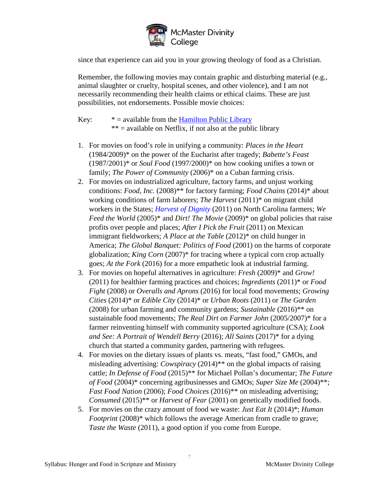

since that experience can aid you in your growing theology of food as a Christian.

Remember, the following movies may contain graphic and disturbing material (e.g., animal slaughter or cruelty, hospital scenes, and other violence), and I am not necessarily recommending their health claims or ethical claims. These are just possibilities, not endorsements. Possible movie choices:

Key:  $* =$  available from the [Hamilton Public Library](https://hpl.bibliocommons.com/) \*\* = available on Netflix, if not also at the public library

- 1. For movies on food's role in unifying a community: *Places in the Heart*  (1984/2009)\* on the power of the Eucharist after tragedy; *Babette's Feast*  $(1987/2001)^*$  or *Soul Food*  $(1997/2000)^*$  on how cooking unifies a town or family; *The Power of Community* (2006)\* on a Cuban farming crisis.
- 2. For movies on industrialized agriculture, factory farms, and unjust working conditions: *Food, Inc.* (2008)\*\* for factory farming; *Food Chains* (2014)\* about working conditions of farm laborers; *The Harvest* (2011)\* on migrant child workers in the States; *[Harvest of Dignity](https://www.saf-unite.org/content/recommended-films)* (2011) on North Carolina farmers; *We Feed the World* (2005)\* and *Dirt! The Movie* (2009)\* on global policies that raise profits over people and places; *After I Pick the Fruit* (2011) on Mexican immigrant fieldworkers; *A Place at the Table* (2012)\* on child hunger in America; *The Global Banquet: Politics of Food* (2001) on the harms of corporate globalization; *King Corn* (2007)\* for tracing where a typical corn crop actually goes; *At the Fork* (2016) for a more empathetic look at industrial farming.
- 3. For movies on hopeful alternatives in agriculture: *Fresh* (2009)\* and *Grow!*  (2011) for healthier farming practices and choices; *Ingredients* (2011)\* or *Food Fight* (2008) or *Overalls and Aprons* (2016) for local food movements; *Growing Cities* (2014)\* or *Edible City* (2014)\* or *Urban Roots* (2011) or *The Garden*  (2008) for urban farming and community gardens; *Sustainable* (2016)\*\* on sustainable food movements; *The Real Dirt on Farmer John* (2005/2007)\* for a farmer reinventing himself with community supported agriculture (CSA); *Look and See: A Portrait of Wendell Berry* (2016); *All Saints* (2017)\* for a dying church that started a community garden, partnering with refugees.
- 4. For movies on the dietary issues of plants vs. meats, "fast food," GMOs, and misleading advertising: *Cowspiracy* (2014)\*\* on the global impacts of raising cattle; *In Defense of Food* (2015)\*\* for Michael Pollan's documentar; *The Future of Food* (2004)\* concerning agribusinesses and GMOs; *Super Size Me* (2004)\*\*; *Fast Food Nation* (2006); *Food Choices* (2016)\*\* on misleading advertising; *Consumed* (2015)\*\* or *Harvest of Fear* (2001) on genetically modified foods.
- 5. For movies on the crazy amount of food we waste: *Just Eat It* (2014)\*; *Human Footprint* (2008)\* which follows the average American from cradle to grave; *Taste the Waste* (2011), a good option if you come from Europe.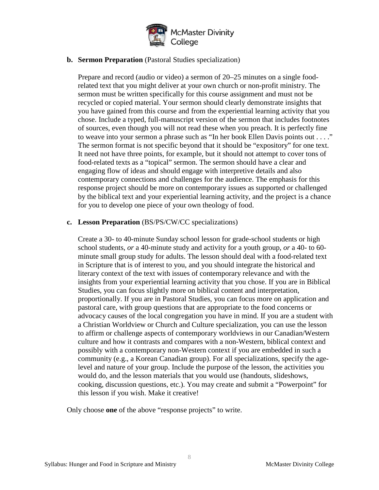

#### **b. Sermon Preparation** (Pastoral Studies specialization)

Prepare and record (audio or video) a sermon of 20–25 minutes on a single foodrelated text that you might deliver at your own church or non-profit ministry. The sermon must be written specifically for this course assignment and must not be recycled or copied material. Your sermon should clearly demonstrate insights that you have gained from this course and from the experiential learning activity that you chose. Include a typed, full-manuscript version of the sermon that includes footnotes of sources, even though you will not read these when you preach. It is perfectly fine to weave into your sermon a phrase such as "In her book Ellen Davis points out . . . ." The sermon format is not specific beyond that it should be "expository" for one text. It need not have three points, for example, but it should not attempt to cover tons of food-related texts as a "topical" sermon. The sermon should have a clear and engaging flow of ideas and should engage with interpretive details and also contemporary connections and challenges for the audience. The emphasis for this response project should be more on contemporary issues as supported or challenged by the biblical text and your experiential learning activity, and the project is a chance for you to develop one piece of your own theology of food.

#### **c. Lesson Preparation** (BS/PS/CW/CC specializations)

Create a 30- to 40-minute Sunday school lesson for grade-school students or high school students, *or* a 40-minute study and activity for a youth group, *or* a 40- to 60 minute small group study for adults. The lesson should deal with a food-related text in Scripture that is of interest to you, and you should integrate the historical and literary context of the text with issues of contemporary relevance and with the insights from your experiential learning activity that you chose. If you are in Biblical Studies, you can focus slightly more on biblical content and interpretation, proportionally. If you are in Pastoral Studies, you can focus more on application and pastoral care, with group questions that are appropriate to the food concerns or advocacy causes of the local congregation you have in mind. If you are a student with a Christian Worldview or Church and Culture specialization, you can use the lesson to affirm or challenge aspects of contemporary worldviews in our Canadian/Western culture and how it contrasts and compares with a non-Western, biblical context and possibly with a contemporary non-Western context if you are embedded in such a community (e.g., a Korean Canadian group). For all specializations, specify the agelevel and nature of your group. Include the purpose of the lesson, the activities you would do, and the lesson materials that you would use (handouts, slideshows, cooking, discussion questions, etc.). You may create and submit a "Powerpoint" for this lesson if you wish. Make it creative!

Only choose **one** of the above "response projects" to write.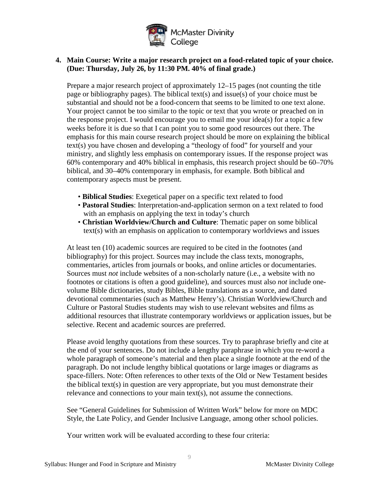

#### **4. Main Course: Write a major research project on a food-related topic of your choice. (Due: Thursday, July 26, by 11:30 PM. 40% of final grade.)**

Prepare a major research project of approximately 12–15 pages (not counting the title page or bibliography pages). The biblical text(s) and issue(s) of your choice must be substantial and should not be a food-concern that seems to be limited to one text alone. Your project cannot be too similar to the topic or text that you wrote or preached on in the response project. I would encourage you to email me your idea(s) for a topic a few weeks before it is due so that I can point you to some good resources out there. The emphasis for this main course research project should be more on explaining the biblical text(s) you have chosen and developing a "theology of food" for yourself and your ministry, and slightly less emphasis on contemporary issues. If the response project was 60% contemporary and 40% biblical in emphasis, this research project should be 60–70% biblical, and 30–40% contemporary in emphasis, for example. Both biblical and contemporary aspects must be present.

- **Biblical Studies**: Exegetical paper on a specific text related to food
- **Pastoral Studies**: Interpretation-and-application sermon on a text related to food with an emphasis on applying the text in today's church
- **Christian Worldview/Church and Culture**: Thematic paper on some biblical text(s) with an emphasis on application to contemporary worldviews and issues

At least ten (10) academic sources are required to be cited in the footnotes (and bibliography) for this project. Sources may include the class texts, monographs, commentaries, articles from journals or books, and online articles or documentaries. Sources must *not* include websites of a non-scholarly nature (i.e., a website with no footnotes or citations is often a good guideline), and sources must also *not* include onevolume Bible dictionaries, study Bibles, Bible translations as a source, and dated devotional commentaries (such as Matthew Henry's). Christian Worldview/Church and Culture or Pastoral Studies students may wish to use relevant websites and films as additional resources that illustrate contemporary worldviews or application issues, but be selective. Recent and academic sources are preferred.

Please avoid lengthy quotations from these sources. Try to paraphrase briefly and cite at the end of your sentences. Do not include a lengthy paraphrase in which you re-word a whole paragraph of someone's material and then place a single footnote at the end of the paragraph. Do not include lengthy biblical quotations or large images or diagrams as space-fillers. Note: Often references to other texts of the Old or New Testament besides the biblical text(s) in question are very appropriate, but you must demonstrate their relevance and connections to your main text(s), not assume the connections.

See "General Guidelines for Submission of Written Work" below for more on MDC Style, the Late Policy, and Gender Inclusive Language, among other school policies.

Your written work will be evaluated according to these four criteria: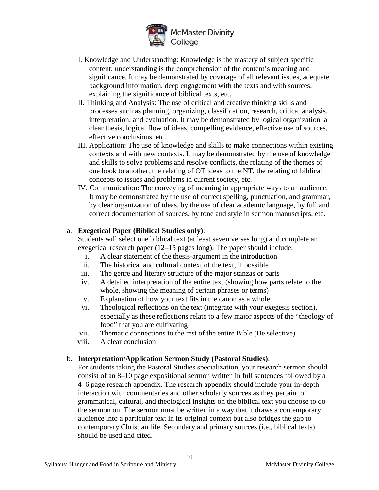

- I. Knowledge and Understanding: Knowledge is the mastery of subject specific content; understanding is the comprehension of the content's meaning and significance. It may be demonstrated by coverage of all relevant issues, adequate background information, deep engagement with the texts and with sources, explaining the significance of biblical texts, etc.
- II. Thinking and Analysis: The use of critical and creative thinking skills and processes such as planning, organizing, classification, research, critical analysis, interpretation, and evaluation. It may be demonstrated by logical organization, a clear thesis, logical flow of ideas, compelling evidence, effective use of sources, effective conclusions, etc.
- III. Application: The use of knowledge and skills to make connections within existing contexts and with new contexts. It may be demonstrated by the use of knowledge and skills to solve problems and resolve conflicts, the relating of the themes of one book to another, the relating of OT ideas to the NT, the relating of biblical concepts to issues and problems in current society, etc.
- IV. Communication: The conveying of meaning in appropriate ways to an audience. It may be demonstrated by the use of correct spelling, punctuation, and grammar, by clear organization of ideas, by the use of clear academic language, by full and correct documentation of sources, by tone and style in sermon manuscripts, etc.

#### a. **Exegetical Paper (Biblical Studies only)**:

Students will select one biblical text (at least seven verses long) and complete an exegetical research paper (12–15 pages long). The paper should include:

- i. A clear statement of the thesis-argument in the introduction
- ii. The historical and cultural context of the text, if possible
- iii. The genre and literary structure of the major stanzas or parts
- iv. A detailed interpretation of the entire text (showing how parts relate to the whole, showing the meaning of certain phrases or terms)
- v. Explanation of how your text fits in the canon as a whole
- vi. Theological reflections on the text (integrate with your exegesis section), especially as these reflections relate to a few major aspects of the "theology of food" that you are cultivating
- vii. Thematic connections to the rest of the entire Bible (Be selective)
- viii. A clear conclusion

#### b. **Interpretation/Application Sermon Study (Pastoral Studies)**:

For students taking the Pastoral Studies specialization, your research sermon should consist of an 8–10 page expositional sermon written in full sentences followed by a 4–6 page research appendix. The research appendix should include your in-depth interaction with commentaries and other scholarly sources as they pertain to grammatical, cultural, and theological insights on the biblical text you choose to do the sermon on. The sermon must be written in a way that it draws a contemporary audience into a particular text in its original context but also bridges the gap to contemporary Christian life. Secondary and primary sources (i.e., biblical texts) should be used and cited.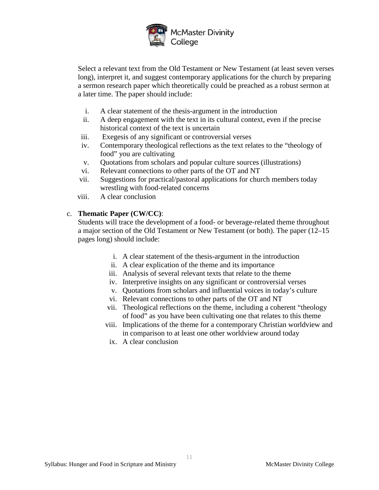

Select a relevant text from the Old Testament or New Testament (at least seven verses long), interpret it, and suggest contemporary applications for the church by preparing a sermon research paper which theoretically could be preached as a robust sermon at a later time. The paper should include:

- i. A clear statement of the thesis-argument in the introduction
- ii. A deep engagement with the text in its cultural context, even if the precise historical context of the text is uncertain
- iii. Exegesis of any significant or controversial verses
- iv. Contemporary theological reflections as the text relates to the "theology of food" you are cultivating
- v. Quotations from scholars and popular culture sources (illustrations)
- vi. Relevant connections to other parts of the OT and NT
- vii. Suggestions for practical/pastoral applications for church members today wrestling with food-related concerns
- viii. A clear conclusion

#### c. **Thematic Paper (CW/CC)**:

Students will trace the development of a food- or beverage-related theme throughout a major section of the Old Testament or New Testament (or both). The paper (12–15 pages long) should include:

- i. A clear statement of the thesis-argument in the introduction
- ii. A clear explication of the theme and its importance
- iii. Analysis of several relevant texts that relate to the theme
- iv. Interpretive insights on any significant or controversial verses
- v. Quotations from scholars and influential voices in today's culture
- vi. Relevant connections to other parts of the OT and NT
- vii. Theological reflections on the theme, including a coherent "theology of food" as you have been cultivating one that relates to this theme
- viii. Implications of the theme for a contemporary Christian worldview and in comparison to at least one other worldview around today
- ix. A clear conclusion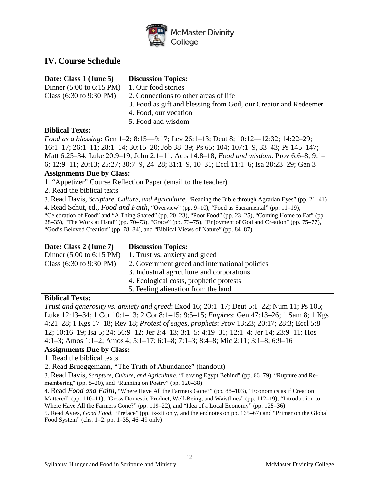

# **IV. Course Schedule**

| Date: Class 1 (June 5)                      | <b>Discussion Topics:</b>                                       |
|---------------------------------------------|-----------------------------------------------------------------|
| Dinner $(5:00 \text{ to } 6:15 \text{ PM})$ | 1. Our food stories                                             |
| Class $(6:30 \text{ to } 9:30 \text{ PM})$  | 2. Connections to other areas of life                           |
|                                             | 3. Food as gift and blessing from God, our Creator and Redeemer |
|                                             | 4. Food, our vocation                                           |
|                                             | 5. Food and wisdom                                              |

#### **Biblical Texts:**

*Food as a blessing*: Gen 1–2; 8:15—9:17; Lev 26:1–13; Deut 8; 10:12—12:32; 14:22–29; 16:1–17; 26:1–11; 28:1–14; 30:15–20; Job 38–39; Ps 65; 104; 107:1–9, 33–43; Ps 145–147; Matt 6:25–34; Luke 20:9–19; John 2:1–11; Acts 14:8–18; *Food and wisdom*: Prov 6:6–8; 9:1– 6; 12:9–11; 20:13; 25:27; 30:7–9, 24–28; 31:1–9, 10–31; Eccl 11:1–6; Isa 28:23–29; Gen 3

#### **Assignments Due by Class:**

- 1. "Appetizer" Course Reflection Paper (email to the teacher)
- 2. Read the biblical texts

3. Read Davis, *Scripture, Culture, and Agriculture*, "Reading the Bible through Agrarian Eyes" (pp. 21–41) 4. Read Schut, ed., *Food and Faith*, "Overview" (pp. 9–10), "Food as Sacramental" (pp. 11–19), "Celebration of Food" and "A Thing Shared" (pp. 20–23), "Poor Food" (pp. 23–25), "Coming Home to Eat" (pp. 28–35), "The Work at Hand" (pp. 70–73), "Grace" (pp. 73–75), "Enjoyment of God and Creation" (pp. 75–77), "God's Beloved Creation" (pp. 78–84), and "Biblical Views of Nature" (pp. 84–87)

| Date: Class 2 (June 7) | <b>Discussion Topics:</b> |  |
|------------------------|---------------------------|--|
|                        |                           |  |
|                        |                           |  |
|                        |                           |  |

|                                            | Dinner $(5:00 \text{ to } 6:15 \text{ PM})$   1. Trust vs. anxiety and greed |
|--------------------------------------------|------------------------------------------------------------------------------|
| Class $(6:30 \text{ to } 9:30 \text{ PM})$ | 2. Government greed and international policies                               |
|                                            | 3. Industrial agriculture and corporations                                   |
|                                            | 4. Ecological costs, prophetic protests                                      |
|                                            | 5. Feeling alienation from the land                                          |
|                                            |                                                                              |

#### **Biblical Texts:**

*Trust and generosity vs. anxiety and greed*: Exod 16; 20:1–17; Deut 5:1–22; Num 11; Ps 105; Luke 12:13–34; 1 Cor 10:1–13; 2 Cor 8:1–15; 9:5–15; *Empires*: Gen 47:13–26; 1 Sam 8; 1 Kgs 4:21–28; 1 Kgs 17–18; Rev 18; *Protest of sages, prophets*: Prov 13:23; 20:17; 28:3; Eccl 5:8– 12; 10:16–19; Isa 5; 24; 56:9–12; Jer 2:4–13; 3:1–5; 4:19–31; 12:1–4; Jer 14; 23:9–11; Hos 4:1–3; Amos 1:1–2; Amos 4; 5:1–17; 6:1–8; 7:1–3; 8:4–8; Mic 2:11; 3:1–8; 6:9–16

#### **Assignments Due by Class:**

1. Read the biblical texts

2. Read Brueggemann, "The Truth of Abundance" (handout)

3. Read Davis, *Scripture, Culture, and Agriculture*, "Leaving Egypt Behind" (pp. 66–79), "Rupture and Remembering" (pp. 8–20), and "Running on Poetry" (pp. 120–38)

4. Read *Food and Faith*, "Where Have All the Farmers Gone?" (pp. 88–103), "Economics as if Creation Mattered" (pp. 110–11), "Gross Domestic Product, Well-Being, and Waistlines" (pp. 112–19), "Introduction to Where Have All the Farmers Gone?" (pp. 119–22), and "Idea of a Local Economy" (pp. 125–36) 5. Read Ayres, *Good Food*, "Preface" (pp. ix-xii only, and the endnotes on pp. 165–67) and "Primer on the Global Food System" (chs. 1–2: pp. 1–35, 46–49 only)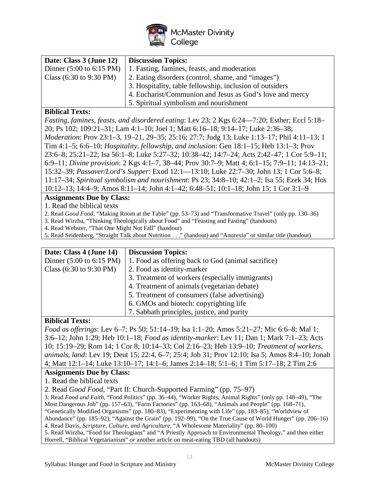

| Date: Class 3 (June 12)                     | <b>Discussion Topics:</b>                                |
|---------------------------------------------|----------------------------------------------------------|
| Dinner $(5:00 \text{ to } 6:15 \text{ PM})$ | 1. Fasting, famines, feasts, and moderation              |
| Class $(6:30 \text{ to } 9:30 \text{ PM})$  | 2. Eating disorders (control, shame, and "images")       |
|                                             | 3. Hospitality, table fellowship, inclusion of outsiders |
|                                             | 4. Eucharist/Communion and Jesus as God's love and mercy |
|                                             | 5. Spiritual symbolism and nourishment                   |

#### **Biblical Texts:**

*Fasting, famines, feasts, and disordered eating*: Lev 23; 2 Kgs 6:24—7:20; Esther; Eccl 5:18– 20; Ps 102; 109:21–31; Lam 4:1–10; Joel 1; Matt 6:16–18; 9:14–17; Luke 2:36–38; *Moderation*: Prov 23:1–3, 19–21, 29–35; 25:16; 27:7; Judg 13; Luke 1:13–17; Phil 4:11–13; 1 Tim 4:1–5; 6:6–10; *Hospitality, fellowship, and inclusion*: Gen 18:1–15; Heb 13:1–3; Prov 23:6–8; 25:21–22; Isa 56:1–8; Luke 5:27–32; 10:38–42; 14:7–24; Acts 2:42–47; 1 Cor 5:9–11; 6:9–11; *Divine provision*: 2 Kgs 4:1–7, 38–44; Prov 30:7–9; Matt 4; 6:1–15; 7:9–11; 14:13–21; 15:32–39; *Passover/Lord's Supper*: Exod 12:1—13:10; Luke 22:7–30; John 13; 1 Cor 5:6–8; 11:17–34; *Spiritual symbolism and nourishment*: Ps 23; 34:8–10; 42:1–2; Isa 55; Ezek 34; Hos 10:12–13; 14:4–9; Amos 8:11–14; John 4:1–42; 6:48–51; 10:1–18; John 15; 1 Cor 3:1–9

#### **Assignments Due by Class:**

1. Read the biblical texts

2. Read *Good Food*, "Making Room at the Table" (pp. 53–73) and "Transformative Travel" (only pp. 130–36)

3. Read Wirzba, "Thinking Theologically about Food" and "Feasting and Fasting" (handouts)

4. Read Webster, "That One Might Not Fall" (handout)

5. Read Seidenberg, "Straight Talk about Nutrition . . ." (handout) and "Anorexia" or similar title (handout)

| Date: Class 4 (June 14)                     | <b>Discussion Topics:</b>                          |
|---------------------------------------------|----------------------------------------------------|
| Dinner $(5:00 \text{ to } 6:15 \text{ PM})$ | 1. Food as offering back to God (animal sacrifice) |
| Class $(6:30 \text{ to } 9:30 \text{ PM})$  | 2. Food as identity-marker                         |
|                                             | 3. Treatment of workers (especially immigrants)    |
|                                             | 4. Treatment of animals (vegetarian debate)        |
|                                             | 5. Treatment of consumers (false advertising)      |
|                                             | 6. GMOs and biotech: copyrighting life             |
|                                             | 7. Sabbath principles, justice, and purity         |

#### **Biblical Texts:**

*Food as offerings*: Lev 6–7; Ps 50; 51:14–19; Isa 1:1–20; Amos 5:21–27; Mic 6:6–8; Mal 1; 3:6–12; John 1:29; Heb 10:1–18; *Food as identity-marker*: Lev 11; Dan 1; Mark 7:1–23; Acts 10; 15:19–29; Rom 14; 1 Cor 8; 10:14–33; Col 2:16–23; Heb 13:9–10; *Treatment of workers, animals, land*: Lev 19; Deut 15; 22:4, 6–7; 25:4; Job 31; Prov 12:10; Isa 5; Amos 8:4–10; Jonah 4; Matt 12:1–14; Luke 13:10–17; 14:1–6; James 2:14–18; 5:1–6; 1 Tim 5:17–18; 2 Tim 2:6

#### **Assignments Due by Class:**

1. Read the biblical texts

2. Read *Good Food*, "Part II: Church-Supported Farming" (pp. 75–97)

3. Read *Food and Faith*, "Food Politics" (pp. 36–44), "Worker Rights, Animal Rights" (only pp. 148–49), "The Most Dangerous Job" (pp. 157–63), "Farm Factories" (pp. 163–68), "Animals and People" (pp. 168–71), "Genetically Modified Organisms" (pp. 180–83), "Experimenting with Life" (pp. 183–85), "Worldview of Abundance" (pp. 185–92), "Against the Grain" (pp. 192–99), "On the True Cause of World Hunger" (pp. 206–16) 4. Read Davis, *Scripture, Culture, and Agriculture*, "A Wholesome Materiality" (pp. 80–100) 5. Read Wirzba, "Food for Theologians" and "A Priestly Approach to Environmental Theology," and then either Horrell, "Biblical Vegetarianism" *or* another article on meat-eating TBD (all handouts)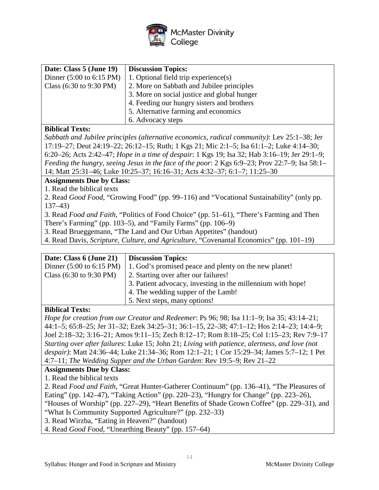

| Date: Class 5 (June 19)                     | <b>Discussion Topics:</b>                   |
|---------------------------------------------|---------------------------------------------|
| Dinner $(5:00 \text{ to } 6:15 \text{ PM})$ | 1. Optional field trip experience(s)        |
| Class $(6:30 \text{ to } 9:30 \text{ PM})$  | 2. More on Sabbath and Jubilee principles   |
|                                             | 3. More on social justice and global hunger |
|                                             | 4. Feeding our hungry sisters and brothers  |
|                                             | 5. Alternative farming and economics        |
|                                             | 6. Advocacy steps                           |

#### **Biblical Texts:**

*Sabbath and Jubilee principles (alternative economics, radical community)*: Lev 25:1–38; Jer 17:19–27; Deut 24:19–22; 26:12–15; Ruth; 1 Kgs 21; Mic 2:1–5; Isa 61:1–2; Luke 4:14–30; 6:20–26; Acts 2:42–47; *Hope in a time of despair*: 1 Kgs 19; Isa 32; Hab 3:16–19; Jer 29:1–9; *Feeding the hungry, seeing Jesus in the face of the poor*: 2 Kgs 6:9–23; Prov 22:7–9; Isa 58:1– 14; Matt 25:31–46; Luke 10:25–37; 16:16–31; Acts 4:32–37; 6:1–7; 11:25–30

#### **Assignments Due by Class:**

1. Read the biblical texts

2. Read *Good Food*, "Growing Food" (pp. 99–116) and "Vocational Sustainability" (only pp. 137–43)

3. Read *Food and Faith*, "Politics of Food Choice" (pp. 51–61), "There's Farming and Then

There's Farming" (pp. 103–5), and "Family Farms" (pp. 106–9)

3. Read Brueggemann, "The Land and Our Urban Appetites" (handout)

4. Read Davis, *Scripture, Culture, and Agriculture*, "Covenantal Economics" (pp. 101–19)

| Date: Class 6 (June 21)                     | <b>Discussion Topics:</b>                                   |
|---------------------------------------------|-------------------------------------------------------------|
| Dinner $(5:00 \text{ to } 6:15 \text{ PM})$ | 1. God's promised peace and plenty on the new planet!       |
| Class $(6:30 \text{ to } 9:30 \text{ PM})$  | 2. Starting over after our failures!                        |
|                                             | 3. Patient advocacy, investing in the millennium with hope! |
|                                             | 4. The wedding supper of the Lamb!                          |
|                                             | 5. Next steps, many options!                                |

#### **Biblical Texts:**

*Hope for creation from our Creator and Redeemer*: Ps 96; 98; Isa 11:1–9; Isa 35; 43:14–21; 44:1–5; 65:8–25; Jer 31–32; Ezek 34:25–31; 36:1–15, 22–38; 47:1–12; Hos 2:14–23; 14:4–9; Joel 2:18–32; 3:16–21; Amos 9:11–15; Zech 8:12–17; Rom 8:18–25; Col 1:15–23; Rev 7:9–17 *Starting over after failures*: Luke 15; John 21; *Living with patience, alertness, and love (not despair)*: Matt 24:36–44; Luke 21:34–36; Rom 12:1–21; 1 Cor 15:29–34; James 5:7–12; 1 Pet 4:7–11; *The Wedding Supper and the Urban Garden*: Rev 19:5–9; Rev 21–22

#### **Assignments Due by Class:**

1. Read the biblical texts

2. Read *Food and Faith*, "Great Hunter-Gatherer Continuum" (pp. 136–41), "The Pleasures of Eating" (pp. 142–47), "Taking Action" (pp. 220–23), "Hungry for Change" (pp. 223–26), "Houses of Worship" (pp. 227–29), "Heart Benefits of Shade Grown Coffee" (pp. 229–31), and "What Is Community Supported Agriculture?" (pp. 232–33)

3. Read Wirzba, "Eating in Heaven?" (handout)

4. Read *Good Food*, "Unearthing Beauty" (pp. 157–64)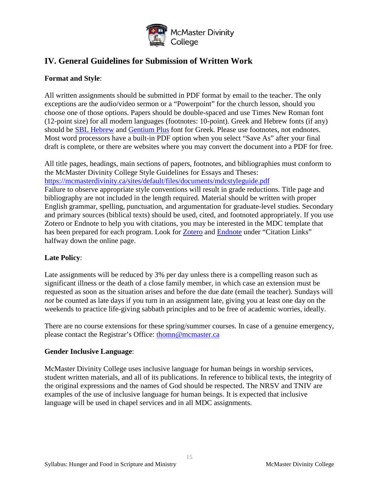

# **IV. General Guidelines for Submission of Written Work**

#### **Format and Style**:

All written assignments should be submitted in PDF format by email to the teacher. The only exceptions are the audio/video sermon or a "Powerpoint" for the church lesson, should you choose one of those options. Papers should be double-spaced and use Times New Roman font (12-point size) for all modern languages (footnotes: 10-point). Greek and Hebrew fonts (if any) should be [SBL Hebrew](http://www.sbl-site.org/educational/BiblicalFonts_SBLHebrew.aspx) and [Gentium Plus](http://software.sil.org/gentium/download/) font for Greek. Please use footnotes, not endnotes. Most word processors have a built-in PDF option when you select "Save As" after your final draft is complete, or there are websites where you may convert the document into a PDF for free.

All title pages, headings, main sections of papers, footnotes, and bibliographies must conform to the McMaster Divinity College Style Guidelines for Essays and Theses: <https://mcmasterdivinity.ca/sites/default/files/documents/mdcstyleguide.pdf> Failure to observe appropriate style conventions will result in grade reductions. Title page and bibliography are not included in the length required. Material should be written with proper English grammar, spelling, punctuation, and argumentation for graduate-level studies. Secondary and primary sources (biblical texts) should be used, cited, and footnoted appropriately. If you use Zotero or Endnote to help you with citations, you may be interested in the MDC template that has been prepared for each program. Look for [Zotero](https://mcmasterdivinity.ca/programs/resources-forms) and [Endnote](https://mcmasterdivinity.ca/programs/resources-forms) under "Citation Links" halfway down the online page.

#### **Late Policy**:

Late assignments will be reduced by 3% per day unless there is a compelling reason such as significant illness or the death of a close family member, in which case an extension must be requested as soon as the situation arises and before the due date (email the teacher). Sundays will *not* be counted as late days if you turn in an assignment late, giving you at least one day on the weekends to practice life-giving sabbath principles and to be free of academic worries, ideally.

There are no course extensions for these spring/summer courses. In case of a genuine emergency, please contact the Registrar's Office: [thomn@mcmaster.ca](mailto:thomn@mcmaster.ca)

#### **Gender Inclusive Language**:

McMaster Divinity College uses inclusive language for human beings in worship services, student written materials, and all of its publications. In reference to biblical texts, the integrity of the original expressions and the names of God should be respected. The NRSV and TNIV are examples of the use of inclusive language for human beings. It is expected that inclusive language will be used in chapel services and in all MDC assignments.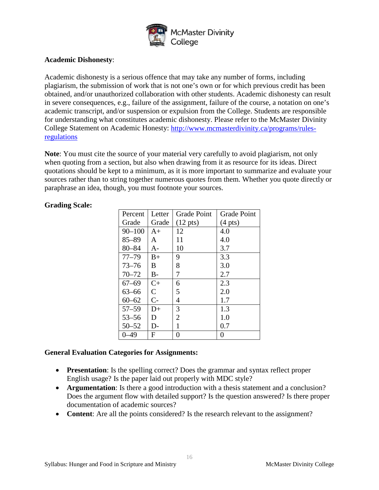

#### **Academic Dishonesty**:

Academic dishonesty is a serious offence that may take any number of forms, including plagiarism, the submission of work that is not one's own or for which previous credit has been obtained, and/or unauthorized collaboration with other students. Academic dishonesty can result in severe consequences, e.g., failure of the assignment, failure of the course, a notation on one's academic transcript, and/or suspension or expulsion from the College. Students are responsible for understanding what constitutes academic dishonesty. Please refer to the McMaster Divinity College Statement on Academic Honesty: [http://www.mcmasterdivinity.ca/programs/rules](http://www.mcmasterdivinity.ca/programs/rules-regulations)[regulations](http://www.mcmasterdivinity.ca/programs/rules-regulations)

**Note**: You must cite the source of your material very carefully to avoid plagiarism, not only when quoting from a section, but also when drawing from it as resource for its ideas. Direct quotations should be kept to a minimum, as it is more important to summarize and evaluate your sources rather than to string together numerous quotes from them. Whether you quote directly or paraphrase an idea, though, you must footnote your sources.

| Percent    | Letter         | <b>Grade Point</b> | <b>Grade Point</b> |
|------------|----------------|--------------------|--------------------|
| Grade      | Grade          | $(12 \text{ pts})$ | $(4 \text{ pts})$  |
| $90 - 100$ | $A+$           | 12                 | 4.0                |
| $85 - 89$  | A              | 11                 | 4.0                |
| $80 - 84$  | A-             | 10                 | 3.7                |
| $77 - 79$  | $B+$           | 9                  | 3.3                |
| $73 - 76$  | B              | 8                  | 3.0                |
| $70 - 72$  | $B -$          | 7                  | 2.7                |
| $67 - 69$  | $C+$           | 6                  | 2.3                |
| $63 - 66$  | $\overline{C}$ | 5                  | 2.0                |
| $60 - 62$  | $C-$           | 4                  | 1.7                |
| $57 - 59$  | $D+$           | 3                  | 1.3                |
| $53 - 56$  | D              | $\overline{2}$     | 1.0                |
| $50 - 52$  | D-             | 1                  | 0.7                |
| $0 - 49$   | F              | 0                  | 0                  |

#### **Grading Scale:**

#### **General Evaluation Categories for Assignments:**

- **Presentation**: Is the spelling correct? Does the grammar and syntax reflect proper English usage? Is the paper laid out properly with MDC style?
- **Argumentation**: Is there a good introduction with a thesis statement and a conclusion? Does the argument flow with detailed support? Is the question answered? Is there proper documentation of academic sources?
- **Content:** Are all the points considered? Is the research relevant to the assignment?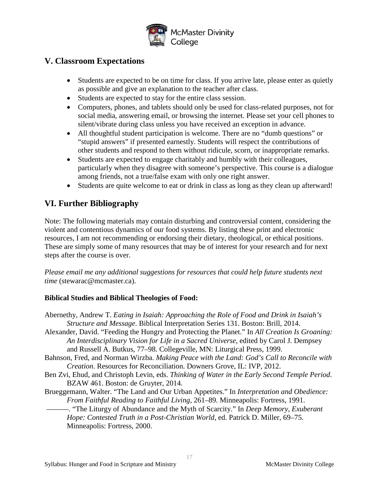

# **V. Classroom Expectations**

- Students are expected to be on time for class. If you arrive late, please enter as quietly as possible and give an explanation to the teacher after class.
- Students are expected to stay for the entire class session.
- Computers, phones, and tablets should only be used for class-related purposes, not for social media, answering email, or browsing the internet. Please set your cell phones to silent/vibrate during class unless you have received an exception in advance.
- All thoughtful student participation is welcome. There are no "dumb questions" or "stupid answers" if presented earnestly. Students will respect the contributions of other students and respond to them without ridicule, scorn, or inappropriate remarks.
- Students are expected to engage charitably and humbly with their colleagues, particularly when they disagree with someone's perspective. This course is a dialogue among friends, not a true/false exam with only one right answer.
- Students are quite welcome to eat or drink in class as long as they clean up afterward!

# **VI. Further Bibliography**

Note: The following materials may contain disturbing and controversial content, considering the violent and contentious dynamics of our food systems. By listing these print and electronic resources, I am not recommending or endorsing their dietary, theological, or ethical positions. These are simply some of many resources that may be of interest for your research and for next steps after the course is over.

*Please email me any additional suggestions for resources that could help future students next time* (stewarac@mcmaster.ca).

#### **Biblical Studies and Biblical Theologies of Food:**

| Abernethy, Andrew T. Eating in Isaiah: Approaching the Role of Food and Drink in Isaiah's      |
|------------------------------------------------------------------------------------------------|
| Structure and Message. Biblical Interpretation Series 131. Boston: Brill, 2014.                |
| Alexander, David. "Feeding the Hungry and Protecting the Planet." In All Creation Is Groaning: |
| An Interdisciplinary Vision for Life in a Sacred Universe, edited by Carol J. Dempsey          |
| and Russell A. Butkus, 77–98. Collegeville, MN: Liturgical Press, 1999.                        |
| Bahnson, Fred, and Norman Wirzba. Making Peace with the Land: God's Call to Reconcile with     |
| <i>Creation.</i> Resources for Reconciliation. Downers Grove, IL: IVP, 2012.                   |
| Ben Zvi, Ehud, and Christoph Levin, eds. Thinking of Water in the Early Second Temple Period.  |
| BZAW 461. Boston: de Gruyter, 2014.                                                            |
| Brueggemann, Walter. "The Land and Our Urban Appetites." In Interpretation and Obedience:      |
| From Faithful Reading to Faithful Living, 261–89. Minneapolis: Fortress, 1991.                 |
| -. "The Liturgy of Abundance and the Myth of Scarcity." In Deep Memory, Exuberant              |
| Hope: Contested Truth in a Post-Christian World, ed. Patrick D. Miller, 69-75.                 |
| Minneapolis: Fortress, 2000.                                                                   |
|                                                                                                |
|                                                                                                |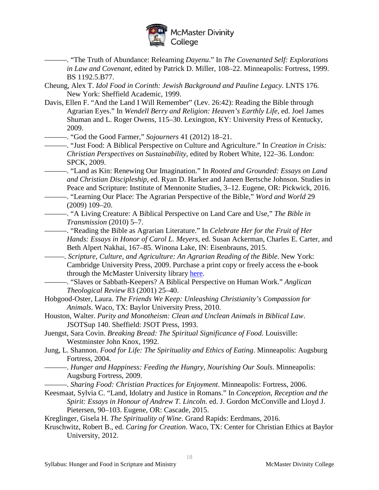

———. "The Truth of Abundance: Relearning *Dayenu*." In *The Covenanted Self: Explorations in Law and Covenant*, edited by Patrick D. Miller, 108–22. Minneapolis: Fortress, 1999. BS 1192.5.B77.

- Cheung, Alex T. *Idol Food in Corinth: Jewish Background and Pauline Legacy*. LNTS 176. New York: Sheffield Academic, 1999.
- Davis, Ellen F. "And the Land I Will Remember" (Lev. 26:42): Reading the Bible through Agrarian Eyes." In *Wendell Berry and Religion: Heaven's Earthly Life*, ed. Joel James Shuman and L. Roger Owens, 115–30. Lexington, KY: University Press of Kentucky, 2009.

———. "God the Good Farmer," *Sojourners* 41 (2012) 18–21.

- ———. "Just Food: A Biblical Perspective on Culture and Agriculture." In *Creation in Crisis: Christian Perspectives on Sustainability*, edited by Robert White, 122–36. London: SPCK, 2009.
- ———. "Land as Kin: Renewing Our Imagination." In *Rooted and Grounded: Essays on Land and Christian Discipleship*, ed. Ryan D. Harker and Janeen Bertsche Johnson. Studies in Peace and Scripture: Institute of Mennonite Studies, 3–12. Eugene, OR: Pickwick, 2016.
- ———. "Learning Our Place: The Agrarian Perspective of the Bible," *Word and World* 29 (2009) 109–20.
- ———. "A Living Creature: A Biblical Perspective on Land Care and Use," *The Bible in Transmission* (2010) 5–7.

———. "Reading the Bible as Agrarian Literature." In *Celebrate Her for the Fruit of Her Hands: Essays in Honor of Carol L. Meyers*, ed. Susan Ackerman, Charles E. Carter, and Beth Alpert Nakhai, 167–85. Winona Lake, IN: Eisenbrauns, 2015.

*———. Scripture, Culture, and Agriculture: An Agrarian Reading of the Bible*. New York: Cambridge University Press, 2009. Purchase a print copy or freely access the e-book through the McMaster University library [here.](https://discovery.mcmaster.ca/iii/encore/record/C__Rb1642093?lang=eng)

- ———. "Slaves or Sabbath-Keepers? A Biblical Perspective on Human Work." *Anglican Theological Review* 83 (2001) 25–40.
- Hobgood-Oster, Laura. *The Friends We Keep: Unleashing Christianity's Compassion for Animals*. Waco, TX: Baylor University Press, 2010.
- Houston, Walter. *Purity and Monotheism: Clean and Unclean Animals in Biblical Law*. JSOTSup 140. Sheffield: JSOT Press, 1993.
- Juengst, Sara Covin. *Breaking Bread: The Spiritual Significance of Food*. Louisville: Westminster John Knox, 1992.
- Jung, L. Shannon. *Food for Life: The Spirituality and Ethics of Eating*. Minneapolis: Augsburg Fortress, 2004.
	- ———. *Hunger and Happiness: Feeding the Hungry, Nourishing Our Souls*. Minneapolis: Augsburg Fortress, 2009.
	- ———. *Sharing Food: Christian Practices for Enjoyment*. Minneapolis: Fortress, 2006.
- Keesmaat, Sylvia C. "Land, Idolatry and Justice in Romans." In *Conception, Reception and the Spirit: Essays in Honour of Andrew T. Lincoln*. ed. J. Gordon McConville and Lloyd J. Pietersen, 90–103. Eugene, OR: Cascade, 2015.
- Kreglinger, Gisela H. *The Spirituality of Wine*. Grand Rapids: Eerdmans, 2016.
- Kruschwitz, Robert B., ed. *Caring for Creation*. Waco, TX: Center for Christian Ethics at Baylor University, 2012.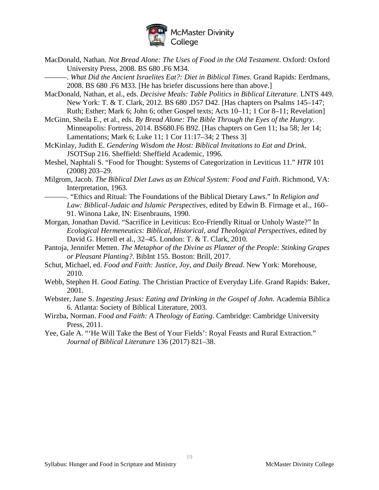

MacDonald, Nathan. *Not Bread Alone: The Uses of Food in the Old Testament*. Oxford: Oxford University Press, 2008. BS 680 .F6 M34.

———. *What Did the Ancient Israelites Eat?: Diet in Biblical Times*. Grand Rapids: Eerdmans, 2008. BS 680 .F6 M33. [He has briefer discussions here than above.]

- MacDonald, Nathan, et al., eds. *Decisive Meals: Table Politics in Biblical Literature*. LNTS 449. New York: T. & T. Clark, 2012. BS 680 .D57 D42. [Has chapters on Psalms 145–147; Ruth; Esther; Mark 6; John 6; other Gospel texts; Acts 10–11; 1 Cor 8–11; Revelation]
- McGinn, Sheila E., et al., eds. *By Bread Alone: The Bible Through the Eyes of the Hungry*. Minneapolis: Fortress, 2014. BS680.F6 B92. [Has chapters on Gen 11; Isa 58; Jer 14; Lamentations; Mark 6; Luke 11; 1 Cor 11:17–34; 2 Thess 3]
- McKinlay, Judith E. *Gendering Wisdom the Host: Biblical Invitations to Eat and Drink*. JSOTSup 216. Sheffield: Sheffield Academic, 1996.
- Meshel, Naphtali S. "Food for Thought: Systems of Categorization in Leviticus 11." *HTR* 101 (2008) 203–29.
- Milgrom, Jacob. *The Biblical Diet Laws as an Ethical System: Food and Faith*. Richmond, VA: Interpretation, 1963.
- ———. "Ethics and Ritual: The Foundations of the Biblical Dietary Laws." In *Religion and Law: Biblical-Judaic and Islamic Perspectives*, edited by Edwin B. Firmage et al., 160– 91. Winona Lake, IN: Eisenbrauns, 1990.
- Morgan, Jonathan David. "Sacrifice in Leviticus: Eco-Friendly Ritual or Unholy Waste?" In *Ecological Hermeneutics: Biblical, Historical, and Theological Perspectives*, edited by David G. Horrell et al., 32–45. London: T. & T. Clark, 2010.
- Pantoja, Jennifer Metten. *The Metaphor of the Divine as Planter of the People: Stinking Grapes or Pleasant Planting?*. BibInt 155. Boston: Brill, 2017.
- Schut, Michael, ed. *Food and Faith: Justice, Joy, and Daily Bread*. New York: Morehouse, 2010.
- Webb, Stephen H. *Good Eating*. The Christian Practice of Everyday Life. Grand Rapids: Baker, 2001.
- Webster, Jane S. *Ingesting Jesus: Eating and Drinking in the Gospel of John*. Academia Biblica 6. Atlanta: Society of Biblical Literature, 2003.
- Wirzba, Norman. *Food and Faith: A Theology of Eating*. Cambridge: Cambridge University Press, 2011.
- Yee, Gale A. "'He Will Take the Best of Your Fields': Royal Feasts and Rural Extraction." *Journal of Biblical Literature* 136 (2017) 821–38.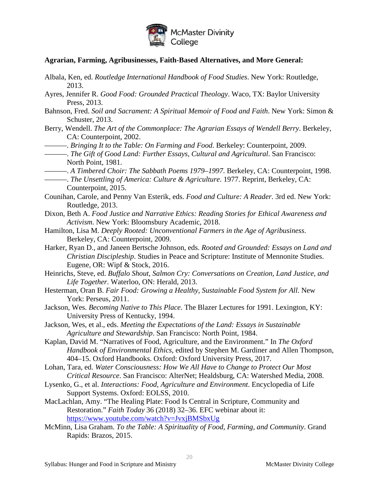

#### **Agrarian, Farming, Agribusinesses, Faith-Based Alternatives, and More General:**

- Albala, Ken, ed. *Routledge International Handbook of Food Studies*. New York: Routledge, 2013.
- Ayres, Jennifer R. *Good Food: Grounded Practical Theology*. Waco, TX: Baylor University Press, 2013.
- Bahnson, Fred. *Soil and Sacrament: A Spiritual Memoir of Food and Faith*. New York: Simon & Schuster, 2013.
- Berry, Wendell. *The Art of the Commonplace: The Agrarian Essays of Wendell Berry*. Berkeley, CA: Counterpoint, 2002.
- ———. *Bringing It to the Table: On Farming and Food*. Berkeley: Counterpoint, 2009.

- ———. *A Timbered Choir: The Sabbath Poems 1979–1997*. Berkeley, CA: Counterpoint, 1998.
- ———. *The Unsettling of America: Culture & Agriculture*. 1977. Reprint, Berkeley, CA: Counterpoint, 2015.
- Counihan, Carole, and Penny Van Esterik, eds. *Food and Culture: A Reader*. 3rd ed. New York: Routledge, 2013.
- Dixon, Beth A. *Food Justice and Narrative Ethics: Reading Stories for Ethical Awareness and Activism*. New York: Bloomsbury Academic, 2018.
- Hamilton, Lisa M. *Deeply Rooted: Unconventional Farmers in the Age of Agribusiness*. Berkeley, CA: Counterpoint, 2009.
- Harker, Ryan D., and Janeen Bertsche Johnson, eds. *Rooted and Grounded: Essays on Land and Christian Discipleship*. Studies in Peace and Scripture: Institute of Mennonite Studies. Eugene, OR: Wipf & Stock, 2016.
- Heinrichs, Steve, ed. *Buffalo Shout, Salmon Cry: Conversations on Creation, Land Justice, and Life Together*. Waterloo, ON: Herald, 2013.
- Hesterman, Oran B. *Fair Food: Growing a Healthy, Sustainable Food System for All*. New York: Perseus, 2011.
- Jackson, Wes. *Becoming Native to This Place*. The Blazer Lectures for 1991. Lexington, KY: University Press of Kentucky, 1994.
- Jackson, Wes, et al., eds. *Meeting the Expectations of the Land: Essays in Sustainable Agriculture and Stewardship*. San Francisco: North Point, 1984.
- Kaplan, David M. "Narratives of Food, Agriculture, and the Environment." In *The Oxford Handbook of Environmental Ethics*, edited by Stephen M. Gardiner and Allen Thompson, 404–15. Oxford Handbooks. Oxford: Oxford University Press, 2017.
- Lohan, Tara, ed. *Water Consciousness: How We All Have to Change to Protect Our Most Critical Resource*. San Francisco: AlterNet; Healdsburg, CA: Watershed Media, 2008.
- Lysenko, G., et al. *Interactions: Food, Agriculture and Environment*. Encyclopedia of Life Support Systems. Oxford: EOLSS, 2010.
- MacLachlan, Amy. "The Healing Plate: Food Is Central in Scripture, Community and Restoration." *Faith Today* 36 (2018) 32–36. EFC webinar about it: <https://www.youtube.com/watch?v=JvxjBMSbxUg>
- McMinn, Lisa Graham. *To the Table: A Spirituality of Food, Farming, and Community*. Grand Rapids: Brazos, 2015.

<sup>———.</sup> *The Gift of Good Land: Further Essays, Cultural and Agricultural*. San Francisco: North Point, 1981.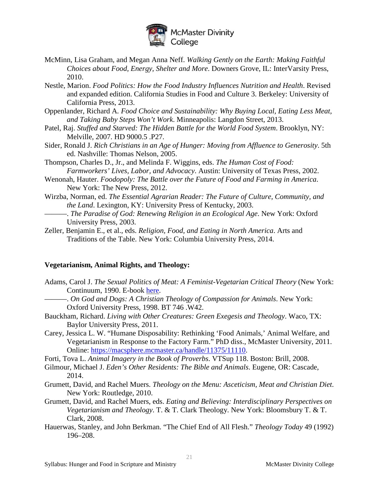

- McMinn, Lisa Graham, and Megan Anna Neff. *Walking Gently on the Earth: Making Faithful Choices about Food, Energy, Shelter and More*. Downers Grove, IL: InterVarsity Press, 2010.
- Nestle, Marion. *Food Politics: How the Food Industry Influences Nutrition and Health*. Revised and expanded edition. California Studies in Food and Culture 3. Berkeley: University of California Press, 2013.
- Oppenlander, Richard A*. Food Choice and Sustainability: Why Buying Local, Eating Less Meat, and Taking Baby Steps Won't Work*. Minneapolis: Langdon Street, 2013.
- Patel, Raj. *Stuffed and Starved: The Hidden Battle for the World Food System*. Brooklyn, NY: Melville, 2007. HD 9000.5 .P27.
- Sider, Ronald J. *Rich Christians in an Age of Hunger: Moving from Affluence to Generosity*. 5th ed. Nashville: Thomas Nelson, 2005.
- Thompson, Charles D., Jr., and Melinda F. Wiggins, eds. *The Human Cost of Food: Farmworkers' Lives, Labor, and Advocacy*. Austin: University of Texas Press, 2002.
- Wenonah, Hauter. *Foodopoly: The Battle over the Future of Food and Farming in America*. New York: The New Press, 2012.
- Wirzba, Norman, ed. *The Essential Agrarian Reader: The Future of Culture, Community, and the Land*. Lexington, KY: University Press of Kentucky, 2003.
- -. *The Paradise of God: Renewing Religion in an Ecological Age*. New York: Oxford University Press, 2003.
- Zeller, Benjamin E., et al., eds. *Religion, Food, and Eating in North America*. Arts and Traditions of the Table. New York: Columbia University Press, 2014.

#### **Vegetarianism, Animal Rights, and Theology:**

- Adams, Carol J. *The Sexual Politics of Meat: A Feminist-Vegetarian Critical Theory* (New York: Continuum, 1990. E-book [here.](http://libaccess.mcmaster.ca/login?url=http://www.MCMU.eblib.com/EBLWeb/patron?target=patron&extendedid=P_592417_0&)
	- ———. *On God and Dogs: A Christian Theology of Compassion for Animals*. New York: Oxford University Press, 1998. BT 746 .W42.
- Bauckham, Richard. *Living with Other Creatures: Green Exegesis and Theology*. Waco, TX: Baylor University Press, 2011.
- Carey, Jessica L. W. "Humane Disposability: Rethinking 'Food Animals,' Animal Welfare, and Vegetarianism in Response to the Factory Farm." PhD diss., McMaster University, 2011. Online: [https://macsphere.mcmaster.ca/handle/11375/11110.](https://macsphere.mcmaster.ca/handle/11375/11110)
- Forti, Tova L. *Animal Imagery in the Book of Proverbs*. VTSup 118. Boston: Brill, 2008.
- Gilmour, Michael J. *Eden's Other Residents: The Bible and Animals*. Eugene, OR: Cascade, 2014.
- Grumett, David, and Rachel Muers. *Theology on the Menu: Asceticism, Meat and Christian Diet*. New York: Routledge, 2010.
- Grumett, David, and Rachel Muers, eds. *Eating and Believing: Interdisciplinary Perspectives on Vegetarianism and Theology*. T. & T. Clark Theology. New York: Bloomsbury T. & T. Clark, 2008.
- Hauerwas, Stanley, and John Berkman. "The Chief End of All Flesh." *Theology Today* 49 (1992) 196–208.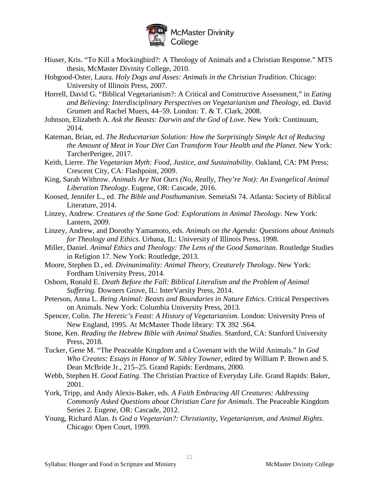

- Hiuser, Kris. "To Kill a Mockingbird?: A Theology of Animals and a Christian Response." MTS thesis, McMaster Divinity College, 2010.
- Hobgood-Oster, Laura. *Holy Dogs and Asses: Animals in the Christian Tradition*. Chicago: University of Illinois Press, 2007.
- Horrell, David G. "Biblical Vegetarianism?: A Critical and Constructive Assessment," in *Eating and Believing: Interdisciplinary Perspectives on Vegetarianism and Theology*, ed. David Grumett and Rachel Muers, 44–59. London: T. & T. Clark, 2008.
- Johnson, Elizabeth A. *Ask the Beasts: Darwin and the God of Love*. New York: Continuum, 2014.
- Kateman, Brian, ed. *The Reducetarian Solution: How the Surprisingly Simple Act of Reducing the Amount of Meat in Your Diet Can Transform Your Health and the Planet*. New York: TarcherPerigee, 2017.
- Keith, Lierre. *The Vegetarian Myth: Food, Justice, and Sustainability*. Oakland, CA: PM Press; Crescent City, CA: Flashpoint, 2009.
- King, Sarah Withrow. *Animals Are Not Ours (No, Really, They're Not): An Evangelical Animal Liberation Theology*. Eugene, OR: Cascade, 2016.
- Koosed, Jennifer L., ed. *The Bible and Posthumanism*. SemeiaSt 74. Atlanta: Society of Biblical Literature, 2014.
- Linzey, Andrew. *Creatures of the Same God: Explorations in Animal Theology*. New York: Lantern, 2009.
- Linzey, Andrew, and Dorothy Yamamoto, eds. *Animals on the Agenda: Questions about Animals for Theology and Ethics*. Urbana, IL: University of Illinois Press, 1998.
- Miller, Daniel. *Animal Ethics and Theology: The Lens of the Good Samaritan*. Routledge Studies in Religion 17. New York: Routledge, 2013.
- Moore, Stephen D., ed. *Divinanimality: Animal Theory, Creaturely Theology*. New York: Fordham University Press, 2014.
- Osborn, Ronald E. *Death Before the Fall: Biblical Literalism and the Problem of Animal Suffering*. Downers Grove, IL: InterVarsity Press, 2014.
- Peterson, Anna L. *Being Animal: Beasts and Boundaries in Nature Ethics*. Critical Perspectives on Animals. New York: Columbia University Press, 2013.
- Spencer, Colin. *The Heretic's Feast: A History of Vegetarianism*. London: University Press of New England, 1995. At McMaster Thode library: TX 392 .S64.
- Stone, Ken. *Reading the Hebrew Bible with Animal Studies*. Stanford, CA: Stanford University Press, 2018.
- Tucker, Gene M. "The Peaceable Kingdom and a Covenant with the Wild Animals." In *God Who Creates: Essays in Honor of W. Sibley Towner*, edited by William P. Brown and S. Dean McBride Jr., 215–25. Grand Rapids: Eerdmans, 2000.
- Webb, Stephen H. *Good Eating*. The Christian Practice of Everyday Life. Grand Rapids: Baker, 2001.
- York, Tripp, and Andy Alexis-Baker, eds. *A Faith Embracing All Creatures: Addressing Commonly Asked Questions about Christian Care for Animals*. The Peaceable Kingdom Series 2. Eugene, OR: Cascade, 2012.
- Young, Richard Alan. *Is God a Vegetarian?: Christianity, Vegetarianism, and Animal Rights*. Chicago: Open Court, 1999.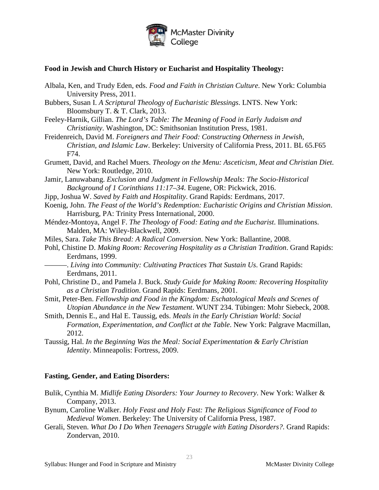

#### **Food in Jewish and Church History or Eucharist and Hospitality Theology:**

- Albala, Ken, and Trudy Eden, eds. *Food and Faith in Christian Culture*. New York: Columbia University Press, 2011.
- Bubbers, Susan I. *A Scriptural Theology of Eucharistic Blessings*. LNTS. New York: Bloomsbury T. & T. Clark, 2013.
- Feeley-Harnik, Gillian. *The Lord's Table: The Meaning of Food in Early Judaism and Christianity*. Washington, DC: Smithsonian Institution Press, 1981.
- Freidenreich, David M. *Foreigners and Their Food: Constructing Otherness in Jewish, Christian, and Islamic Law*. Berkeley: University of California Press, 2011. BL 65.F65 F74.
- Grumett, David, and Rachel Muers. *Theology on the Menu: Asceticism, Meat and Christian Diet*. New York: Routledge, 2010.
- Jamir, Lanuwabang. *Exclusion and Judgment in Fellowship Meals: The Socio-Historical Background of 1 Corinthians 11:17–34*. Eugene, OR: Pickwick, 2016.
- Jipp, Joshua W. *Saved by Faith and Hospitality*. Grand Rapids: Eerdmans, 2017.
- Koenig, John. *The Feast of the World's Redemption: Eucharistic Origins and Christian Mission*. Harrisburg, PA: Trinity Press International, 2000.
- Méndez-Montoya, Angel F. *The Theology of Food: Eating and the Eucharist*. Illuminations. Malden, MA: Wiley-Blackwell, 2009.
- Miles, Sara. *Take This Bread: A Radical Conversion*. New York: Ballantine, 2008.
- Pohl, Chistine D. *Making Room: Recovering Hospitality as a Christian Tradition*. Grand Rapids: Eerdmans, 1999.
- -. *Living into Community: Cultivating Practices That Sustain Us. Grand Rapids:* Eerdmans, 2011.
- Pohl, Christine D., and Pamela J. Buck. *Study Guide for Making Room: Recovering Hospitality as a Christian Tradition*. Grand Rapids: Eerdmans, 2001.
- Smit, Peter-Ben. *Fellowship and Food in the Kingdom: Eschatological Meals and Scenes of Utopian Abundance in the New Testament*. WUNT 234. Tübingen: Mohr Siebeck, 2008.
- Smith, Dennis E., and Hal E. Taussig, eds. *Meals in the Early Christian World: Social Formation, Experimentation, and Conflict at the Table*. New York: Palgrave Macmillan, 2012.
- Taussig, Hal. *In the Beginning Was the Meal: Social Experimentation & Early Christian Identity*. Minneapolis: Fortress, 2009.

#### **Fasting, Gender, and Eating Disorders:**

- Bulik, Cynthia M. *Midlife Eating Disorders: Your Journey to Recovery*. New York: Walker & Company, 2013.
- Bynum, Caroline Walker. *Holy Feast and Holy Fast: The Religious Significance of Food to Medieval Women*. Berkeley: The University of California Press, 1987.
- Gerali, Steven. *What Do I Do When Teenagers Struggle with Eating Disorders?*. Grand Rapids: Zondervan, 2010.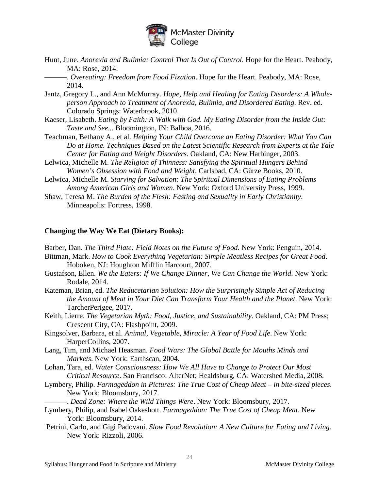

Hunt, June. *Anorexia and Bulimia: Control That Is Out of Control*. Hope for the Heart. Peabody, MA: Rose, 2014.

-. *Overeating: Freedom from Food Fixation*. Hope for the Heart. Peabody, MA: Rose, 2014.

- Jantz, Gregory L., and Ann McMurray. *Hope, Help and Healing for Eating Disorders: A Wholeperson Approach to Treatment of Anorexia, Bulimia, and Disordered Eating*. Rev. ed. Colorado Springs: Waterbrook, 2010.
- Kaeser, Lisabeth. *Eating by Faith: A Walk with God. My Eating Disorder from the Inside Out: Taste and See...* Bloomington, IN: Balboa, 2016.
- Teachman, Bethany A., et al. *Helping Your Child Overcome an Eating Disorder: What You Can Do at Home. Techniques Based on the Latest Scientific Research from Experts at the Yale Center for Eating and Weight Disorders*. Oakland, CA: New Harbinger, 2003.
- Lelwica, Michelle M. *The Religion of Thinness: Satisfying the Spiritual Hungers Behind Women's Obsession with Food and Weight*. Carlsbad, CA: Gürze Books, 2010.
- Lelwica, Michelle M. *Starving for Salvation: The Spiritual Dimensions of Eating Problems Among American Girls and Women*. New York: Oxford University Press, 1999.
- Shaw, Teresa M. *The Burden of the Flesh: Fasting and Sexuality in Early Christianity*. Minneapolis: Fortress, 1998.

#### **Changing the Way We Eat (Dietary Books):**

Barber, Dan. *The Third Plate: Field Notes on the Future of Food*. New York: Penguin, 2014.

- Bittman, Mark. *How to Cook Everything Vegetarian: Simple Meatless Recipes for Great Food*. Hoboken, NJ: Houghton Mifflin Harcourt, 2007.
- Gustafson, Ellen. We the Eaters: If We Change Dinner, We Can Change the World. New York: Rodale, 2014.
- Kateman, Brian, ed. *The Reducetarian Solution: How the Surprisingly Simple Act of Reducing the Amount of Meat in Your Diet Can Transform Your Health and the Planet*. New York: TarcherPerigee, 2017.
- Keith, Lierre. *The Vegetarian Myth: Food, Justice, and Sustainability*. Oakland, CA: PM Press; Crescent City, CA: Flashpoint, 2009.
- Kingsolver, Barbara, et al. *Animal, Vegetable, Miracle: A Year of Food Life*. New York: HarperCollins, 2007.
- Lang, Tim, and Michael Heasman. *Food Wars: The Global Battle for Mouths Minds and Markets*. New York: Earthscan, 2004.
- Lohan, Tara, ed. *Water Consciousness: How We All Have to Change to Protect Our Most Critical Resource*. San Francisco: AlterNet; Healdsburg, CA: Watershed Media, 2008.
- Lymbery, Philip. *Farmageddon in Pictures: The True Cost of Cheap Meat – in bite-sized pieces*. New York: Bloomsbury, 2017.
	- -. *Dead Zone: Where the Wild Things Were*. New York: Bloomsbury, 2017.
- Lymbery, Philip, and Isabel Oakeshott. *Farmageddon: The True Cost of Cheap Meat*. New York: Bloomsbury, 2014.
- Petrini, Carlo, and Gigi Padovani. *Slow Food Revolution: A New Culture for Eating and Living*. New York: Rizzoli, 2006.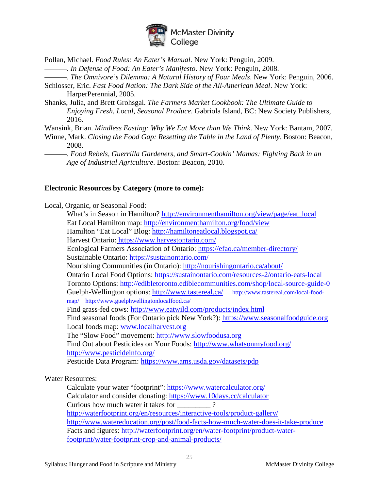

Pollan, Michael. *Food Rules: An Eater's Manual*. New York: Penguin, 2009.

———. *In Defense of Food: An Eater's Manifesto*. New York: Penguin, 2008.

———. *The Omnivore's Dilemma: A Natural History of Four Meals*. New York: Penguin, 2006.

Schlosser, Eric. *Fast Food Nation: The Dark Side of the All-American Meal*. New York: HarperPerennial, 2005.

Shanks, Julia, and Brett Grohsgal. *The Farmers Market Cookbook: The Ultimate Guide to Enjoying Fresh, Local, Seasonal Produce*. Gabriola Island, BC: New Society Publishers, 2016.

Wansink, Brian. *Mindless Easting: Why We Eat More than We Think*. New York: Bantam, 2007.

Winne, Mark. *Closing the Food Gap: Resetting the Table in the Land of Plenty*. Boston: Beacon, 2008.

———. *Food Rebels, Guerrilla Gardeners, and Smart-Cookin' Mamas: Fighting Back in an Age of Industrial Agriculture*. Boston: Beacon, 2010.

#### **Electronic Resources by Category (more to come):**

Local, Organic, or Seasonal Food:

What's in Season in Hamilton? [http://environmenthamilton.org/view/page/eat\\_local](http://environmenthamilton.org/view/page/eat_local) Eat Local Hamilton map:<http://environmenthamilton.org/food/view> Hamilton "Eat Local" Blog:<http://hamiltoneatlocal.blogspot.ca/> Harvest Ontario: <https://www.harvestontario.com/> Ecological Farmers Association of Ontario:<https://efao.ca/member-directory/> Sustainable Ontario:<https://sustainontario.com/> Nourishing Communities (in Ontario):<http://nourishingontario.ca/about/> Ontario Local Food Options:<https://sustainontario.com/resources-2/ontario-eats-local> Toronto Options:<http://edibletoronto.ediblecommunities.com/shop/local-source-guide-0> Guelph-Wellington options:<http://www.tastereal.ca/>[http://www.tastereal.com/local-food](http://www.tastereal.com/local-food-map/)[map/](http://www.tastereal.com/local-food-map/) <http://www.guelphwellingtonlocalfood.ca/> Find grass-fed cows:<http://www.eatwild.com/products/index.html> Find seasonal foods (For Ontario pick New York?): [https://www.seasonalfoodguide.org](https://www.seasonalfoodguide.org/) Local foods map: [www.localharvest.org](http://www.localharvest.org/) The "Slow Food" movement: [http://www.slowfoodusa.org](http://www.slowfoodusa.org/) Find Out about Pesticides on Your Foods:<http://www.whatsonmyfood.org/> <http://www.pesticideinfo.org/> Pesticide Data Program:<https://www.ams.usda.gov/datasets/pdp>

#### Water Resources:

Calculate your water "footprint":<https://www.watercalculator.org/> Calculator and consider donating:<https://www.10days.cc/calculator> Curious how much water it takes for  $\frac{1}{2}$ ? <http://waterfootprint.org/en/resources/interactive-tools/product-gallery/> <http://www.watereducation.org/post/food-facts-how-much-water-does-it-take-produce> Facts and figures: [http://waterfootprint.org/en/water-footprint/product-water](http://waterfootprint.org/en/water-footprint/product-water-footprint/water-footprint-crop-and-animal-products/)[footprint/water-footprint-crop-and-animal-products/](http://waterfootprint.org/en/water-footprint/product-water-footprint/water-footprint-crop-and-animal-products/)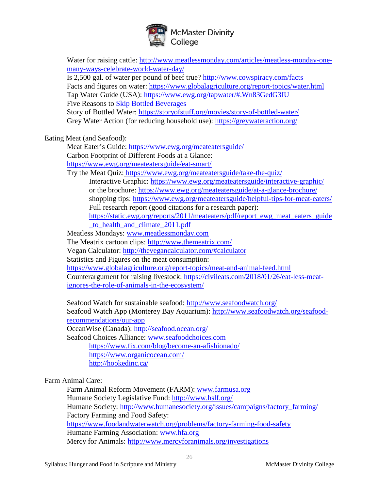

| Water for raising cattle: http://www.meatlessmonday.com/articles/meatless-monday-one-  |  |
|----------------------------------------------------------------------------------------|--|
| many-ways-celebrate-world-water-day/                                                   |  |
| Is 2,500 gal. of water per pound of beef true? http://www.cowspiracy.com/facts         |  |
| Facts and figures on water: https://www.globalagriculture.org/report-topics/water.html |  |
| Tap Water Guide (USA): https://www.ewg.org/tapwater/#.Wn83GedG3IU                      |  |
| <b>Five Reasons to Skip Bottled Beverages</b>                                          |  |
| Story of Bottled Water: https://storyofstuff.org/movies/story-of-bottled-water/        |  |
| Grey Water Action (for reducing household use): https://greywateraction.org/           |  |
| Eating Meat (and Seafood):                                                             |  |
| Meat Eater's Guide: https://www.ewg.org/meateatersguide/                               |  |
| Carbon Footprint of Different Foods at a Glance:                                       |  |
| https://www.ewg.org/meateatersguide/eat-smart/                                         |  |
| Try the Meat Quiz: https://www.ewg.org/meateatersguide/take-the-quiz/                  |  |
| Interactive Graphic: https://www.ewg.org/meateatersguide/interactive-graphic/          |  |
| or the brochure: https://www.ewg.org/meateatersguide/at-a-glance-brochure/             |  |
|                                                                                        |  |
| shopping tips: https://www.ewg.org/meateatersguide/helpful-tips-for-meat-eaters/       |  |
| Full research report (good citations for a research paper):                            |  |
| https://static.ewg.org/reports/2011/meateaters/pdf/report_ewg_meat_eaters_guide        |  |
| to health and climate 2011.pdf                                                         |  |
| Meatless Mondays: www.meatlessmonday.com                                               |  |
| The Meatrix cartoon clips: http://www.themeatrix.com/                                  |  |
| Vegan Calculator: http://thevegancalculator.com/#calculator                            |  |
| Statistics and Figures on the meat consumption:                                        |  |
| https://www.globalagriculture.org/report-topics/meat-and-animal-feed.html              |  |
| Counterargument for raising livestock: https://civileats.com/2018/01/26/eat-less-meat- |  |
| ignores-the-role-of-animals-in-the-ecosystem/                                          |  |
| Seafood Watch for sustainable seafood: http://www.seafoodwatch.org/                    |  |
| Seafood Watch App (Monterey Bay Aquarium): http://www.seafoodwatch.org/seafood-        |  |
| recommendations/our-app                                                                |  |
| OceanWise (Canada): http://seafood.ocean.org/                                          |  |
| Seafood Choices Alliance: www.seafoodchoices.com                                       |  |
| https://www.fix.com/blog/become-an-afishionado/                                        |  |
| https://www.organicocean.com/                                                          |  |
| http://hookedinc.ca/                                                                   |  |
|                                                                                        |  |
| Farm Animal Care:                                                                      |  |
| Farm Animal Reform Movement (FARM): www.farmusa.org                                    |  |
| Humane Society Legislative Fund: http://www.hslf.org/                                  |  |
| Humane Society: http://www.humanesociety.org/issues/campaigns/factory_farming/         |  |
| Factory Farming and Food Safety:                                                       |  |
| https://www.foodandwaterwatch.org/problems/factory-farming-food-safety                 |  |
| Humane Farming Association: www.hfa.org                                                |  |
|                                                                                        |  |

Mercy for Animals:<http://www.mercyforanimals.org/investigations>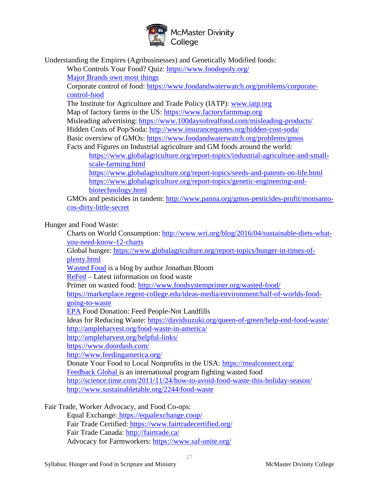

Understanding the Empires (Agribusinesses) and Genetically Modified foods:

Who Controls Your Food? Quiz:<https://www.foodopoly.org/>

[Major Brands own most things](http://sploid.gizmodo.com/fascinating-graphic-shows-who-owns-all-the-major-brands-1599537576)

Corporate control of food: [https://www.foodandwaterwatch.org/problems/corporate](https://www.foodandwaterwatch.org/problems/corporate-control-food)[control-food](https://www.foodandwaterwatch.org/problems/corporate-control-food)

The Institute for Agriculture and Trade Policy (IATP): [www.iatp.org](http://www.iatp.org/)

Map of factory farms in the US: [https://www.factoryfarmmap.org](https://www.factoryfarmmap.org/)

Misleading advertising:<https://www.100daysofrealfood.com/misleading-products/>

Hidden Costs of Pop/Soda:<http://www.insurancequotes.org/hidden-cost-soda/>

Basic overview of GMOs:<https://www.foodandwaterwatch.org/problems/gmos>

Facts and Figures on Industrial agriculture and GM foods around the world: [https://www.globalagriculture.org/report-topics/industrial-agriculture-and-small-](https://www.globalagriculture.org/report-topics/industrial-agriculture-and-small-scale-farming.html)

[scale-farming.html](https://www.globalagriculture.org/report-topics/industrial-agriculture-and-small-scale-farming.html) <https://www.globalagriculture.org/report-topics/seeds-and-patents-on-life.html> [https://www.globalagriculture.org/report-topics/genetic-engineering-and](https://www.globalagriculture.org/report-topics/genetic-engineering-and-biotechnology.html)[biotechnology.html](https://www.globalagriculture.org/report-topics/genetic-engineering-and-biotechnology.html)

GMOs and pesticides in tandem: [http://www.panna.org/gmos-pesticides-profit/monsanto](http://www.panna.org/gmos-pesticides-profit/monsanto-cos-dirty-little-secret)[cos-dirty-little-secret](http://www.panna.org/gmos-pesticides-profit/monsanto-cos-dirty-little-secret)

Hunger and Food Waste:

Charts on World Consumption: [http://www.wri.org/blog/2016/04/sustainable-diets-what](http://www.wri.org/blog/2016/04/sustainable-diets-what-you-need-know-12-charts)[you-need-know-12-charts](http://www.wri.org/blog/2016/04/sustainable-diets-what-you-need-know-12-charts)

Global hunger: [https://www.globalagriculture.org/report-topics/hunger-in-times-of](https://www.globalagriculture.org/report-topics/hunger-in-times-of-plenty.html)[plenty.html](https://www.globalagriculture.org/report-topics/hunger-in-times-of-plenty.html)

[Wasted Food](http://www.wastedfood.com/) is a blog by author Jonathan Bloom

ReFed – Latest information on food waste

Primer on wasted food:<http://www.foodsystemprimer.org/wasted-food/>

[https://marketplace.regent-college.edu/ideas-media/environment/half-of-worlds-food](https://marketplace.regent-college.edu/ideas-media/environment/half-of-worlds-food-going-to-waste)[going-to-waste](https://marketplace.regent-college.edu/ideas-media/environment/half-of-worlds-food-going-to-waste)

[EPA](http://www.epa.gov/foodrecovery/fd-donate.htm) Food Donation: Feed People-Not Landfills

Ideas for Reducing Waste:<https://davidsuzuki.org/queen-of-green/help-end-food-waste/> <http://ampleharvest.org/food-waste-in-america/>

<http://ampleharvest.org/helpful-links/>

<https://www.doordash.com/>

<http://www.feedingamerica.org/>

Donate Your Food to Local Nonprofits in the USA:<https://mealconnect.org/>

[Feedback Global i](http://feedbackglobal.org/)s an international program fighting wasted food

<http://science.time.com/2011/11/24/how-to-avoid-food-waste-this-holiday-season/> <http://www.sustainabletable.org/2244/food-waste>

Fair Trade, Worker Advocacy, and Food Co-ops:

Equal Exchange: <https://equalexchange.coop/> Fair Trade Certified: <https://www.fairtradecertified.org/> Fair Trade Canada:<http://fairtrade.ca/> Advocacy for Farmworkers:<https://www.saf-unite.org/>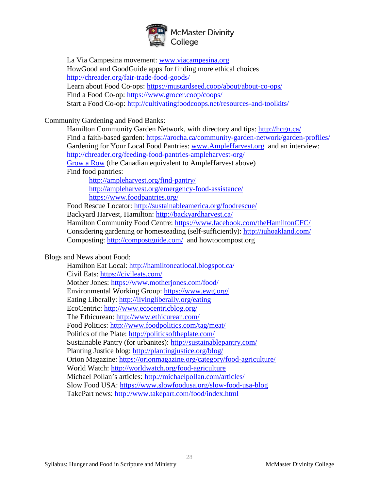

La Via Campesina movement: [www.viacampesina.org](http://www.viacampesina.org/) HowGood and GoodGuide apps for finding more ethical choices <http://chreader.org/fair-trade-food-goods/> Learn about Food Co-ops:<https://mustardseed.coop/about/about-co-ops/> Find a Food Co-op:<https://www.grocer.coop/coops/> Start a Food Co-op:<http://cultivatingfoodcoops.net/resources-and-toolkits/>

Community Gardening and Food Banks:

Hamilton Community Garden Network, with directory and tips:<http://hcgn.ca/> Find a faith-based garden:<https://arocha.ca/community-garden-network/garden-profiles/> Gardening for Your Local Food Pantries: [www.AmpleHarvest.org](http://www.ampleharvest.org/) and an interview: <http://chreader.org/feeding-food-pantries-ampleharvest-org/> [Grow a Row](http://www.growarow.org/) (the Canadian equivalent to AmpleHarvest above)

Find food pantries:

<http://ampleharvest.org/find-pantry/> <http://ampleharvest.org/emergency-food-assistance/> <https://www.foodpantries.org/>

Food Rescue Locator:<http://sustainableamerica.org/foodrescue/>

Backyard Harvest, Hamilton:<http://backyardharvest.ca/>

Hamilton Community Food Centre:<https://www.facebook.com/theHamiltonCFC/> Considering gardening or homesteading (self-sufficiently):<http://iuhoakland.com/> Composting:<http://compostguide.com/> and howtocompost.org

#### Blogs and News about Food:

Hamilton Eat Local:<http://hamiltoneatlocal.blogspot.ca/> Civil Eats:<https://civileats.com/> Mother Jones:<https://www.motherjones.com/food/> Environmental Working Group:<https://www.ewg.org/> Eating Liberally: <http://livingliberally.org/eating> EcoCentric:<http://www.ecocentricblog.org/> The Ethicurean: <http://www.ethicurean.com/> Food Politics:<http://www.foodpolitics.com/tag/meat/> Politics of the Plate:<http://politicsoftheplate.com/> Sustainable Pantry (for urbanites): <http://sustainablepantry.com/> Planting Justice blog:<http://plantingjustice.org/blog/> Orion Magazine:<https://orionmagazine.org/category/food-agriculture/> World Watch:<http://worldwatch.org/food-agriculture> Michael Pollan's articles:<http://michaelpollan.com/articles/> Slow Food USA:<https://www.slowfoodusa.org/slow-food-usa-blog> TakePart news:<http://www.takepart.com/food/index.html>